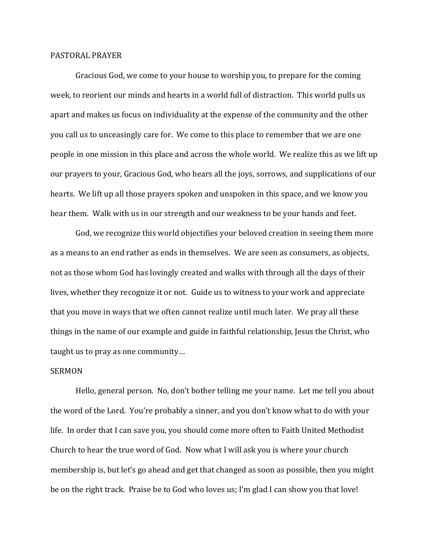## PASTORAL PRAYER

Gracious God, we come to your house to worship you, to prepare for the coming week, to reorient our minds and hearts in a world full of distraction. This world pulls us apart and makes us focus on individuality at the expense of the community and the other you call us to unceasingly care for. We come to this place to remember that we are one people in one mission in this place and across the whole world. We realize this as we lift up our prayers to your, Gracious God, who hears all the joys, sorrows, and supplications of our hearts. We lift up all those prayers spoken and unspoken in this space, and we know you hear them. Walk with us in our strength and our weakness to be your hands and feet.

God, we recognize this world objectifies your beloved creation in seeing them more as a means to an end rather as ends in themselves. We are seen as consumers, as objects, not as those whom God has lovingly created and walks with through all the days of their lives, whether they recognize it or not. Guide us to witness to your work and appreciate that you move in ways that we often cannot realize until much later. We pray all these things in the name of our example and guide in faithful relationship, Jesus the Christ, who taught us to pray as one community…

## SERMON

Hello, general person. No, don't bother telling me your name. Let me tell you about the word of the Lord. You're probably a sinner, and you don't know what to do with your life. In order that I can save you, you should come more often to Faith United Methodist Church to hear the true word of God. Now what I will ask you is where your church membership is, but let's go ahead and get that changed as soon as possible, then you might be on the right track. Praise be to God who loves us; I'm glad I can show you that love!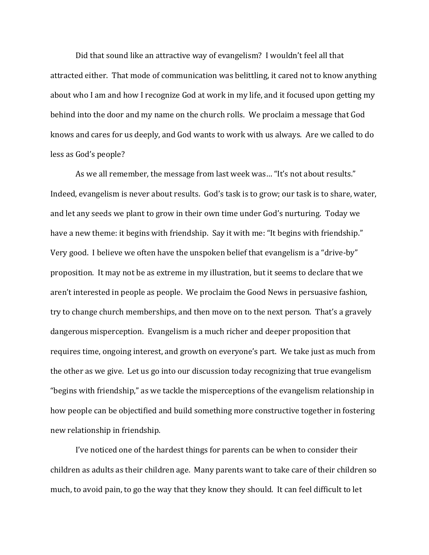Did that sound like an attractive way of evangelism? I wouldn't feel all that attracted either. That mode of communication was belittling, it cared not to know anything about who I am and how I recognize God at work in my life, and it focused upon getting my behind into the door and my name on the church rolls. We proclaim a message that God knows and cares for us deeply, and God wants to work with us always. Are we called to do less as God's people?

As we all remember, the message from last week was… "It's not about results." Indeed, evangelism is never about results. God's task is to grow; our task is to share, water, and let any seeds we plant to grow in their own time under God's nurturing. Today we have a new theme: it begins with friendship. Say it with me: "It begins with friendship." Very good. I believe we often have the unspoken belief that evangelism is a "drive-by" proposition. It may not be as extreme in my illustration, but it seems to declare that we aren't interested in people as people. We proclaim the Good News in persuasive fashion, try to change church memberships, and then move on to the next person. That's a gravely dangerous misperception. Evangelism is a much richer and deeper proposition that requires time, ongoing interest, and growth on everyone's part. We take just as much from the other as we give. Let us go into our discussion today recognizing that true evangelism "begins with friendship," as we tackle the misperceptions of the evangelism relationship in how people can be objectified and build something more constructive together in fostering new relationship in friendship.

I've noticed one of the hardest things for parents can be when to consider their children as adults as their children age. Many parents want to take care of their children so much, to avoid pain, to go the way that they know they should. It can feel difficult to let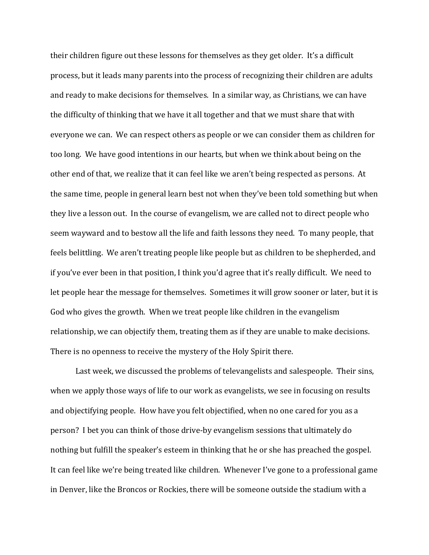their children figure out these lessons for themselves as they get older. It's a difficult process, but it leads many parents into the process of recognizing their children are adults and ready to make decisions for themselves. In a similar way, as Christians, we can have the difficulty of thinking that we have it all together and that we must share that with everyone we can. We can respect others as people or we can consider them as children for too long. We have good intentions in our hearts, but when we think about being on the other end of that, we realize that it can feel like we aren't being respected as persons. At the same time, people in general learn best not when they've been told something but when they live a lesson out. In the course of evangelism, we are called not to direct people who seem wayward and to bestow all the life and faith lessons they need. To many people, that feels belittling. We aren't treating people like people but as children to be shepherded, and if you've ever been in that position, I think you'd agree that it's really difficult. We need to let people hear the message for themselves. Sometimes it will grow sooner or later, but it is God who gives the growth. When we treat people like children in the evangelism relationship, we can objectify them, treating them as if they are unable to make decisions. There is no openness to receive the mystery of the Holy Spirit there.

Last week, we discussed the problems of televangelists and salespeople. Their sins, when we apply those ways of life to our work as evangelists, we see in focusing on results and objectifying people. How have you felt objectified, when no one cared for you as a person? I bet you can think of those drive-by evangelism sessions that ultimately do nothing but fulfill the speaker's esteem in thinking that he or she has preached the gospel. It can feel like we're being treated like children. Whenever I've gone to a professional game in Denver, like the Broncos or Rockies, there will be someone outside the stadium with a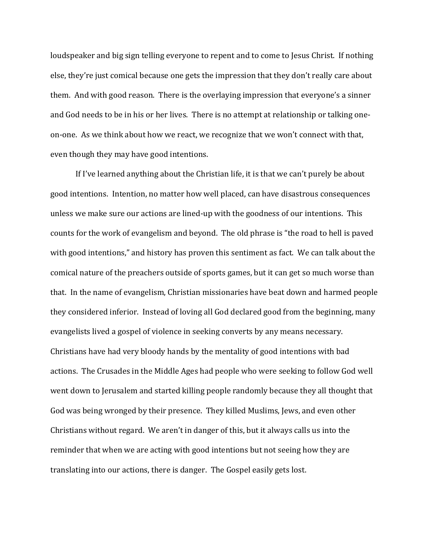loudspeaker and big sign telling everyone to repent and to come to Jesus Christ. If nothing else, they're just comical because one gets the impression that they don't really care about them. And with good reason. There is the overlaying impression that everyone's a sinner and God needs to be in his or her lives. There is no attempt at relationship or talking oneon-one. As we think about how we react, we recognize that we won't connect with that, even though they may have good intentions.

If I've learned anything about the Christian life, it is that we can't purely be about good intentions. Intention, no matter how well placed, can have disastrous consequences unless we make sure our actions are lined-up with the goodness of our intentions. This counts for the work of evangelism and beyond. The old phrase is "the road to hell is paved with good intentions," and history has proven this sentiment as fact. We can talk about the comical nature of the preachers outside of sports games, but it can get so much worse than that. In the name of evangelism, Christian missionaries have beat down and harmed people they considered inferior. Instead of loving all God declared good from the beginning, many evangelists lived a gospel of violence in seeking converts by any means necessary. Christians have had very bloody hands by the mentality of good intentions with bad actions. The Crusades in the Middle Ages had people who were seeking to follow God well went down to Jerusalem and started killing people randomly because they all thought that God was being wronged by their presence. They killed Muslims, Jews, and even other Christians without regard. We aren't in danger of this, but it always calls us into the reminder that when we are acting with good intentions but not seeing how they are translating into our actions, there is danger. The Gospel easily gets lost.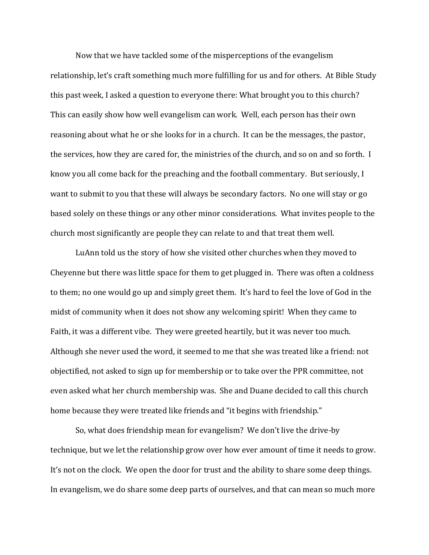Now that we have tackled some of the misperceptions of the evangelism relationship, let's craft something much more fulfilling for us and for others. At Bible Study this past week, I asked a question to everyone there: What brought you to this church? This can easily show how well evangelism can work. Well, each person has their own reasoning about what he or she looks for in a church. It can be the messages, the pastor, the services, how they are cared for, the ministries of the church, and so on and so forth. I know you all come back for the preaching and the football commentary. But seriously, I want to submit to you that these will always be secondary factors. No one will stay or go based solely on these things or any other minor considerations. What invites people to the church most significantly are people they can relate to and that treat them well.

LuAnn told us the story of how she visited other churches when they moved to Cheyenne but there was little space for them to get plugged in. There was often a coldness to them; no one would go up and simply greet them. It's hard to feel the love of God in the midst of community when it does not show any welcoming spirit! When they came to Faith, it was a different vibe. They were greeted heartily, but it was never too much. Although she never used the word, it seemed to me that she was treated like a friend: not objectified, not asked to sign up for membership or to take over the PPR committee, not even asked what her church membership was. She and Duane decided to call this church home because they were treated like friends and "it begins with friendship."

So, what does friendship mean for evangelism? We don't live the drive-by technique, but we let the relationship grow over how ever amount of time it needs to grow. It's not on the clock. We open the door for trust and the ability to share some deep things. In evangelism, we do share some deep parts of ourselves, and that can mean so much more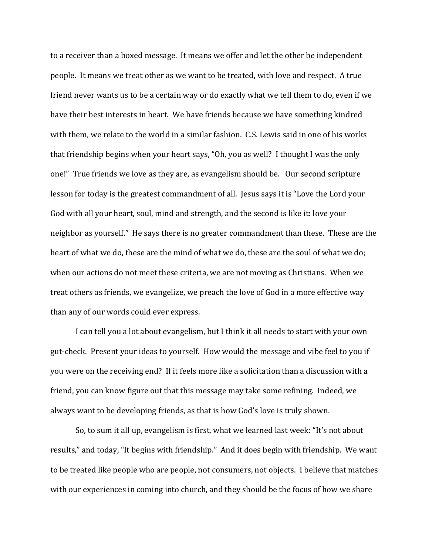to a receiver than a boxed message. It means we offer and let the other be independent people. It means we treat other as we want to be treated, with love and respect. A true friend never wants us to be a certain way or do exactly what we tell them to do, even if we have their best interests in heart. We have friends because we have something kindred with them, we relate to the world in a similar fashion. C.S. Lewis said in one of his works that friendship begins when your heart says, "Oh, you as well? I thought I was the only one!" True friends we love as they are, as evangelism should be. Our second scripture lesson for today is the greatest commandment of all. Jesus says it is "Love the Lord your God with all your heart, soul, mind and strength, and the second is like it: love your neighbor as yourself." He says there is no greater commandment than these. These are the heart of what we do, these are the mind of what we do, these are the soul of what we do; when our actions do not meet these criteria, we are not moving as Christians. When we treat others as friends, we evangelize, we preach the love of God in a more effective way than any of our words could ever express.

I can tell you a lot about evangelism, but I think it all needs to start with your own gut-check. Present your ideas to yourself. How would the message and vibe feel to you if you were on the receiving end? If it feels more like a solicitation than a discussion with a friend, you can know figure out that this message may take some refining. Indeed, we always want to be developing friends, as that is how God's love is truly shown.

So, to sum it all up, evangelism is first, what we learned last week: "It's not about results," and today, "It begins with friendship." And it does begin with friendship. We want to be treated like people who are people, not consumers, not objects. I believe that matches with our experiences in coming into church, and they should be the focus of how we share